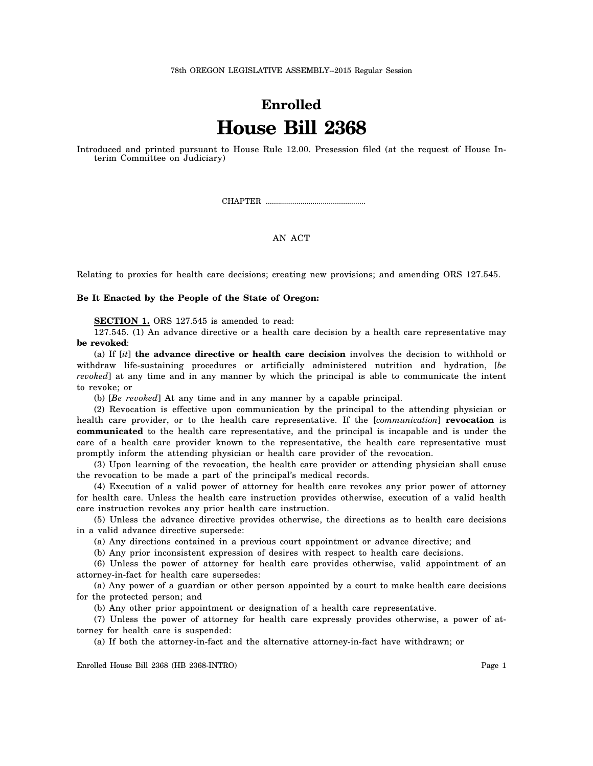## **Enrolled House Bill 2368**

Introduced and printed pursuant to House Rule 12.00. Presession filed (at the request of House Interim Committee on Judiciary)

CHAPTER .................................................

## AN ACT

Relating to proxies for health care decisions; creating new provisions; and amending ORS 127.545.

## **Be It Enacted by the People of the State of Oregon:**

**SECTION 1.** ORS 127.545 is amended to read:

127.545. (1) An advance directive or a health care decision by a health care representative may **be revoked**:

(a) If [*it*] **the advance directive or health care decision** involves the decision to withhold or withdraw life-sustaining procedures or artificially administered nutrition and hydration, [*be revoked*] at any time and in any manner by which the principal is able to communicate the intent to revoke; or

(b) [*Be revoked*] At any time and in any manner by a capable principal.

(2) Revocation is effective upon communication by the principal to the attending physician or health care provider, or to the health care representative. If the [*communication*] **revocation** is **communicated** to the health care representative, and the principal is incapable and is under the care of a health care provider known to the representative, the health care representative must promptly inform the attending physician or health care provider of the revocation.

(3) Upon learning of the revocation, the health care provider or attending physician shall cause the revocation to be made a part of the principal's medical records.

(4) Execution of a valid power of attorney for health care revokes any prior power of attorney for health care. Unless the health care instruction provides otherwise, execution of a valid health care instruction revokes any prior health care instruction.

(5) Unless the advance directive provides otherwise, the directions as to health care decisions in a valid advance directive supersede:

(a) Any directions contained in a previous court appointment or advance directive; and

(b) Any prior inconsistent expression of desires with respect to health care decisions.

(6) Unless the power of attorney for health care provides otherwise, valid appointment of an attorney-in-fact for health care supersedes:

(a) Any power of a guardian or other person appointed by a court to make health care decisions for the protected person; and

(b) Any other prior appointment or designation of a health care representative.

(7) Unless the power of attorney for health care expressly provides otherwise, a power of attorney for health care is suspended:

(a) If both the attorney-in-fact and the alternative attorney-in-fact have withdrawn; or

Enrolled House Bill 2368 (HB 2368-INTRO) Page 1